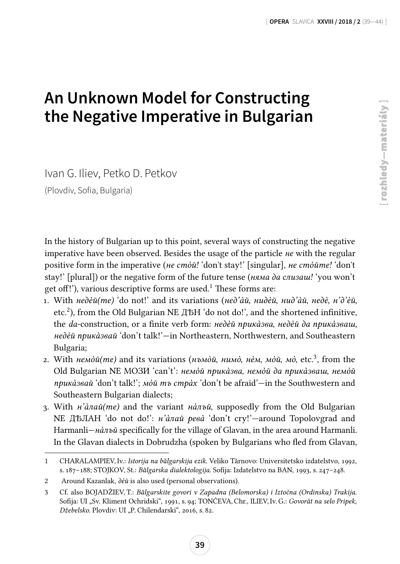## **An Unknown Model for Constructing the Negative Imperative in Bulgarian**

Ivan G. Iliev, Petko D. Petkov (Plovdiv, Sofia, Bulgaria)

In the history of Bulgarian up to this point, several ways of constructing the negative imperative have been observed. Besides the usage of the particle не with the regular positive form in the imperative (не стòй! 'don't stay!' [singular], не стòйте! 'don't stay!' [plural]) or the negative form of the future tense (*няма да слизаш!* 'you won't get off!'), various descriptive forms are used.<sup>1</sup> These forms are:

- 1. With недèй(те) 'do not!' and its variations (нед'àй, нидèй, нид'àй, недè, н'д'èй, etc.<sup>2</sup> ), from the Old Bulgarian NЕ ДѢН 'do not do!', and the shortened infinitive, the da-construction, or a finite verb form: недèй прика̀зва, недèй да прика̀зваш, недèй прикàзвай 'don't talk!'—in Northeastern, Northwestern, and Southeastern Bulgaria;
- 2. With немòй(те) and its variations (нъмòй, нимò, нèм, мòй, мò, etc.<sup>3</sup>, from the Old Bulgarian NЕ МОЗИ 'can't': немòй прикàзва, немòй да прикàзваш, немòй приказвай 'don't talk!'; мой тъ страх 'don't be afraid'—in the Southwestern and Southeastern Bulgarian dialects;
- 3. With  $\mu \hat{a} \pi \alpha \tilde{u}$  (me) and the variant  $\mu \tilde{a} \pi \alpha \tilde{u}$ , supposedly from the Old Bulgarian NЕ ДѢЛАН 'do not do!': н'àлай ревà 'don't cry!'—around Topolovgrad and Harmanli—нàлъй specifically for the village of Glavan, in the area around Harmanli. In the Glavan dialects in Dobrudzha (spoken by Bulgarians who fled from Glavan,

<sup>1</sup> CHARALAMPIEV, Iv.: Istorija na bălgarskija ezik. Veliko Tărnovo: Universitetsko izdatelstvo, 1992, s. 187–188; STOJKOV, St.: Bălgarska dialektologija. Sofija: Izdatelstvo na BAN, 1993, s. 247–248.

<sup>2</sup> Around Kazanlak, дèй is also used (personal observations).

<sup>3</sup> Cf. also BOJADŽIEV, T.: Bălgarskite govori v Zapadna (Belomorska) i Iztočna (Ordinska) Trakija. Sofija: UI "Sv. Kliment Ochridski", 1991, s. 94; TONČEVA, Chr., ILIEV, Iv. G.: Govorăt na selo Pripek, Džebelsko. Plovdiv: UI "P. Chilendarski", 2016, s. 82.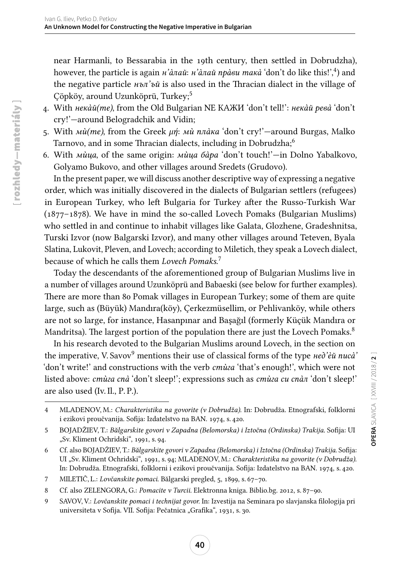near Harmanli, to Bessarabia in the 19th century, then settled in Dobrudzha), however, the particle is again *н'àлай: н'àлай прàви maкà* 'don't do like this!',<sup>4</sup>) and the negative particle  $H \circ \pi' \circ \check{u}$  is also used in the Thracian dialect in the village of Çöpköy, around Uzunköprü, Turkey;<sup>5</sup>

- 4. With некàй(те), from the Old Bulgarian NЕ КАЖИ 'don't tell!': некàй ревà 'don't cry!'—around Belogradchik and Vidin;
- 5. With  $\dot{nu}(me)$ , from the Greek μή: Μα πλάκα 'don't cry!'—around Burgas, Malko Tarnovo, and in some Thracian dialects, including in Dobrudzha;<sup>6</sup>
- 6. With мùца, of the same origin: мùца бàра 'don't touch!'—in Dolno Yabalkovo, Golyamo Bukovo, and other villages around Sredets (Grudovo).

In the present paper, we will discuss another descriptive way of expressing a negative order, which was initially discovered in the dialects of Bulgarian settlers (refugees) in European Turkey, who left Bulgaria for Turkey after the Russo-Turkish War (1877–1878). We have in mind the so-called Lovech Pomaks (Bulgarian Muslims) who settled in and continue to inhabit villages like Galata, Glozhene, Gradeshnitsa, Turski Izvor (now Balgarski Izvor), and many other villages around Teteven, Byala Slatina, Lukovit, Pleven, and Lovech; according to Miletich, they speak a Lovech dialect, because of which he calls them Lovech Pomaks.<sup>7</sup>

Today the descendants of the aforementioned group of Bulgarian Muslims live in a number of villages around Uzunköprü and Babaeski (see below for further examples). There are more than 80 Pomak villages in European Turkey; some of them are quite large, such as (Büyük) Mandıra(köy), Çerkezmüsellim, or Pehlivanköy, while others are not so large, for instance, Hasanpınar and Başağıl (formerly Küçük Mandıra or Mandritsa). The largest portion of the population there are just the Lovech Pomaks.<sup>8</sup>

In his research devoted to the Bulgarian Muslims around Lovech, in the section on the imperative, V. Savov<sup>9</sup> mentions their use of classical forms of the type *Heo'eu nuca'* 'don't write!' and constructions with the verb cmùza 'that's enough!', which were not listed above: стùга спà 'don't sleep!'; expressions such as стùга си спàл 'don't sleep!' are also used (Iv. Il., P. P.).

7 MILETIČ, L.: Lovčanskite pomaci. Bălgarski pregled, 5, 1899, s. 67–70.

<sup>4</sup> MLADENOV, M.: Charakteristika na govorite (v Dobrudža). In: Dobrudža. Etnografski, folklorni i ezikovi proučvanija. Sofija: Izdatelstvo na BAN. 1974, s. 420.

<sup>5</sup> BOJADŽIEV, T.: Bălgarskite govori v Zapadna (Belomorska) i Iztočna (Ordinska) Trakija. Sofija: UI "Sv. Kliment Ochridski", 1991, s. 94.

<sup>6</sup> Cf. also BOJADŽIEV, T.: Bălgarskite govori v Zapadna (Belomorska) i Iztočna (Ordinska) Trakija. Sofija: UI "Sv. Kliment Ochridski", 1991, s. 94; MLADENOV, M.: Charakteristika na govorite (v Dobrudža). In: Dobrudža. Etnografski, folklorni i ezikovi proučvanija. Sofija: Izdatelstvo na BAN. 1974, s. 420.

<sup>8</sup> Cf. also ZELENGORA, G.: Pomacite v Turcii. Elektronna kniga. Biblio.bg. 2012, s. 87–90.

<sup>9</sup> SAVOV, V.: Lovčanskite pomaci i technijat govor. In: Izvestija na Seminara po slavjanska filologija pri universiteta v Sofija. VII. Sofija: Pečatnica "Grafika", 1931, s. 30.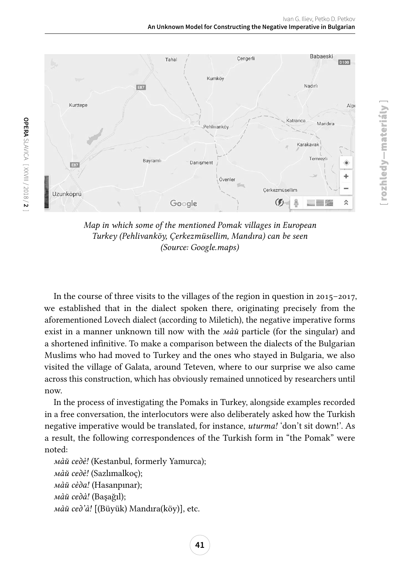rozhledy—materiály ]

rozhledy-materiály]



Map in which some of the mentioned Pomak villages in European Turkey (Pehlivanköy, Çerkezmüsellim, Mandıra) can be seen (Source: Google.maps)

In the course of three visits to the villages of the region in question in 2015–2017, we established that in the dialect spoken there, originating precisely from the aforementioned Lovech dialect (according to Miletich), the negative imperative forms exist in a manner unknown till now with the  $M\ddot{a}$  particle (for the singular) and a shortened infinitive. To make a comparison between the dialects of the Bulgarian Muslims who had moved to Turkey and the ones who stayed in Bulgaria, we also visited the village of Galata, around Teteven, where to our surprise we also came across this construction, which has obviously remained unnoticed by researchers until now.

In the process of investigating the Pomaks in Turkey, alongside examples recorded in a free conversation, the interlocutors were also deliberately asked how the Turkish negative imperative would be translated, for instance, *uturma!* 'don't sit down!'. As a result, the following correspondences of the Turkish form in "the Pomak" were noted:

```
мàй седè! (Kestanbul, formerly Yamurca);
мàй седè! (Sazlımalkoç);
мàй сèда! (Hasanpınar);
мàй седà! (Başağıl);
мàй сед'à! [(Büyük) Mandıra(köy)], etc.
```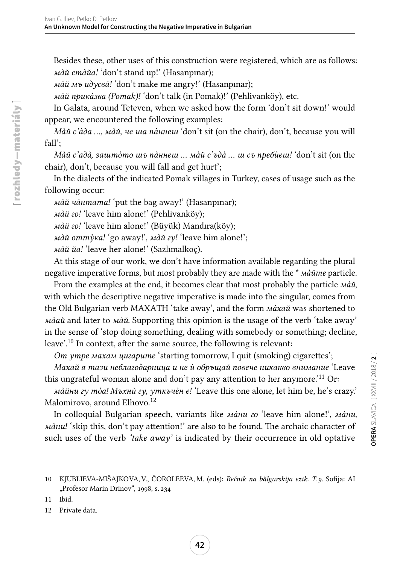Besides these, other uses of this construction were registered, which are as follows: мàй стàйа! 'don't stand up!' (Hasanpınar);

мàй мъ идусвà! 'don't make me angry!' (Hasanpınar);

мàй прикàзва (Pomak)! 'don't talk (in Pomak)!' (Pehlivanköy), etc.

In Galata, around Teteven, when we asked how the form 'don't sit down!' would appear, we encountered the following examples:

Май с'ада ..., май, че ша паннеш 'don't sit (on the chair), don't, because you will fall';

Ма̀й с'ада̀, зашто̀то шъ па̀ннеш ... ма̀й с'ъда̀ ... ш съ пребѝеш! 'don't sit (on the chair), don't, because you will fall and get hurt';

In the dialects of the indicated Pomak villages in Turkey, cases of usage such as the following occur:

мàй чàнтата! 'put the bag away!' (Hasanpınar);

мàй го! 'leave him alone!' (Pehlivanköy);

мàй го! 'leave him alone!' (Büyük) Mandıra(köy);

мàй оттỳка! 'go away!', мàй гу! 'leave him alone!';

мàй йа! 'leave her alone!' (Sazlımalkoç).

At this stage of our work, we don't have information available regarding the plural negative imperative forms, but most probably they are made with the \* мàйте particle.

From the examples at the end, it becomes clear that most probably the particle мàй, with which the descriptive negative imperative is made into the singular, comes from the Old Bulgarian verb MAXATH 'take away', and the form *maxau* was shortened to *ма̀ай* and later to *ма̀й*. Supporting this opinion is the usage of the verb 'take away' in the sense of 'stop doing something, dealing with somebody or something; decline, leave'.<sup>10</sup> In context, after the same source, the following is relevant:

От утре махам цигарите 'starting tomorrow, I quit (smoking) cigarettes';

Махай я тази неблагодарница и не ù обръщай повече никакво внимание 'Leave this ungrateful woman alone and don't pay any attention to her anymore.'<sup>11</sup> Or:

мàйни гу тòа! Мъхнù гу, уткъчèн е! 'Leave this one alone, let him be, he's crazy.' Malomirovo, around Elhovo.<sup>12</sup>

In colloquial Bulgarian speech, variants like мàни го 'leave him alone!', мàни, мàни! 'skip this, don't pay attention!' are also to be found. The archaic character of such uses of the verb *'take away'* is indicated by their occurrence in old optative

[rozhledy-materiály] rozhledy—materiály ]

<sup>10</sup> KJUBLIEVA-MIŠAJKOVA, V., ČOROLEEVA, M. (eds): Rečnik na bălgarskija ezik. T. 9. Sofija: AI "Profesor Marin Drinov", 1998, s. 234

<sup>11</sup> Ibid.

<sup>12</sup> Private data.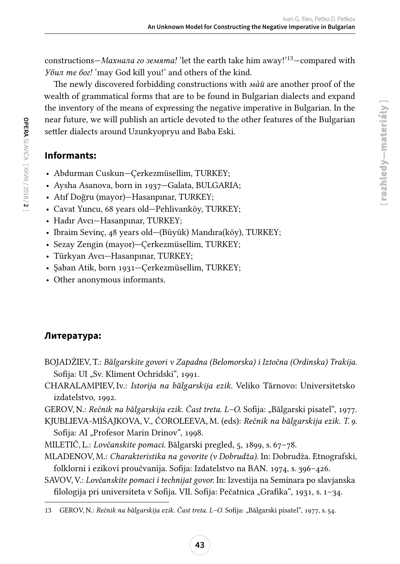constructions—Махнала го земята! 'let the earth take him away!'13—compared with Убил те бог! 'may God kill you!' and others of the kind.

The newly discovered forbidding constructions with *май* are another proof of the wealth of grammatical forms that are to be found in Bulgarian dialects and expand the inventory of the means of expressing the negative imperative in Bulgarian. In the near future, we will publish an article devoted to the other features of the Bulgarian settler dialects around Uzunkyopryu and Baba Eski.

## **Informants:**

**OPERA**

SLAVICA [ XXVIII / 2018 /

**2** ]

- Abdurman Cuskun—Çerkezmüsellim, TURKEY;
- Aysha Asanova, born in 1937—Galata, BULGARIA;
- Atıf Doğru (mayor)—Hasanpınar, TURKEY;
- Cavat Yuncu, 68 years old—Pehlivanköy, TURKEY;
- Hadır Avcı—Hasanpınar, TURKEY;
- Ibraim Sevinç, 48 years old—(Büyük) Mandıra(köy), TURKEY;
- Sezay Zengin (mayor)—Çerkezmüsellim, TURKEY;
- Türkyan Avcı—Hasanpınar, TURKEY;
- Şaban Atik, born 1931—Çerkezmüsellim, TURKEY;
- Other anonymous informants.

## **Литература:**

- BOJADŽIEV, T.: Bălgarskite govori v Zapadna (Belomorska) i Iztočna (Ordinska) Trakija. Sofija: UI "Sv. Kliment Ochridski", 1991.
- CHARALAMPIEV, Iv.: Istorija na bălgarskija ezik. Veliko Tărnovo: Universitetsko izdatelstvo, 1992.
- GEROV, N.: Rečnik na bălgarskija ezik. Čast treta. L–O. Sofija: "Bălgarski pisatel", 1977.

KJUBLIEVA-MIŠAJKOVA, V., ČOROLEEVA, M. (eds): Rečnik na bălgarskija ezik. T. 9. Sofija: AI "Profesor Marin Drinov", 1998.

- MILETIČ, L.: Lovčanskite pomaci. Bălgarski pregled, 5, 1899, s. 67–78.
- MLADENOV, M.: Charakteristika na govorite (v Dobrudža). In: Dobrudža. Etnografski, folklorni i ezikovi proučvanija. Sofija: Izdatelstvo na BAN. 1974, s. 396–426.
- SAVOV, V.: Lovčanskite pomaci i technijat govor. In: Izvestija na Seminara po slavjanska filologija pri universiteta v Sofija. VII. Sofija: Pečatnica "Grafika", 1931, s. 1-34.

<sup>13</sup> GEROV, N.: Rečnik na bălgarskija ezik. Čast treta. L-O. Sofija: "Bălgarski pisatel", 1977, s. 54.